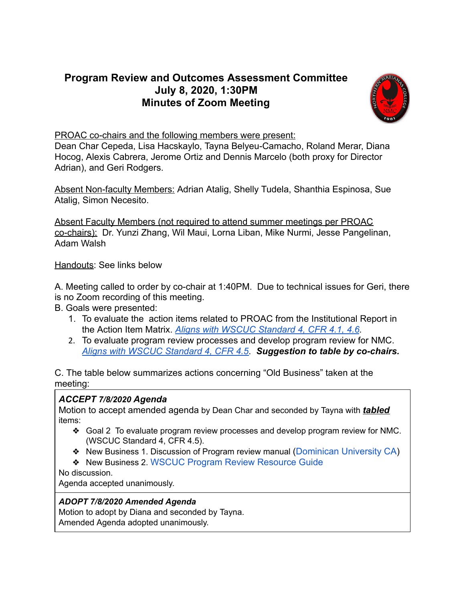# **Program Review and Outcomes Assessment Committee July 8, 2020, 1:30PM Minutes of Zoom Meeting**



PROAC co-chairs and the following members were present:

Dean Char Cepeda, Lisa Hacskaylo, Tayna Belyeu-Camacho, Roland Merar, Diana Hocog, Alexis Cabrera, Jerome Ortiz and Dennis Marcelo (both proxy for Director Adrian), and Geri Rodgers.

Absent Non-faculty Members: Adrian Atalig, Shelly Tudela, Shanthia Espinosa, Sue Atalig, Simon Necesito.

Absent Faculty Members (not required to attend summer meetings per PROAC co-chairs): Dr. Yunzi Zhang, Wil Maui, Lorna Liban, Mike Nurmi, Jesse Pangelinan, Adam Walsh

Handouts: See links below

A. Meeting called to order by co-chair at 1:40PM. Due to technical issues for Geri, there is no Zoom recording of this meeting.

- B. Goals were presented:
	- 1. To evaluate the action items related to PROAC from the Institutional Report in the Action Item Matrix. *[Aligns with WSCUC Standard 4, CFR 4.1, 4.6](https://drive.google.com/file/d/15ccGFpz-IWDsvssbi4Fu4LY_ZjN49pDd/view?usp=sharing) .*
	- 2. To evaluate program review processes and develop program review for NMC. *[Aligns with WSCUC Standard 4, CFR 4.5](https://drive.google.com/file/d/15ccGFpz-IWDsvssbi4Fu4LY_ZjN49pDd/view?usp=sharing)* . *Suggestion to table by co-chairs.*

C. The table below summarizes actions concerning "Old Business" taken at the meeting:

## *ACCEPT 7/8/2020 Agenda*

Motion to accept amended agenda by Dean Char and seconded by Tayna with *tabled*  items:

- ❖ Goal 2 To evaluate program review processes and develop program review for NMC. (WSCUC Standard 4, CFR 4.5).
- ❖ New Business 1. Discussion of Program review manual ( [Dominican University CA \)](https://drive.google.com/file/d/1YZ2O_92VlWJam_PH2mSBm69RIfyWyEcy/view?usp=sharing)
- ❖ New Business 2. [WSCUC Program Review Resource Guide](https://drive.google.com/file/d/1bT8d0xsWP42VMnqZk4P5cDuWOF9aYJ8m/view?usp=sharing)
- No discussion.

Agenda accepted unanimously.

#### *ADOPT 7/8/2020 Amended Agenda*

Motion to adopt by Diana and seconded by Tayna. Amended Agenda adopted unanimously.